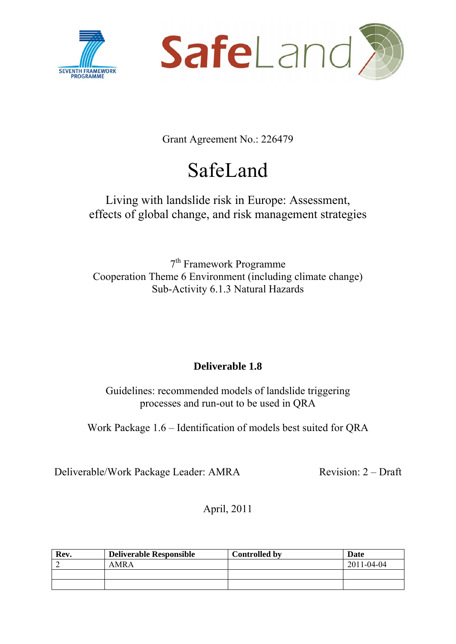



Grant Agreement No.: 226479

# SafeLand

# Living with landslide risk in Europe: Assessment, effects of global change, and risk management strategies

7th Framework Programme Cooperation Theme 6 Environment (including climate change) Sub-Activity 6.1.3 Natural Hazards

## **Deliverable 1.8**

Guidelines: recommended models of landslide triggering processes and run-out to be used in QRA

Work Package 1.6 – Identification of models best suited for QRA

Deliverable/Work Package Leader: AMRA Revision: 2 – Draft

April, 2011

| Rev. | <b>Deliverable Responsible</b> | <b>Controlled by</b> | Date       |
|------|--------------------------------|----------------------|------------|
|      | AMR A                          |                      | 2011-04-04 |
|      |                                |                      |            |
|      |                                |                      |            |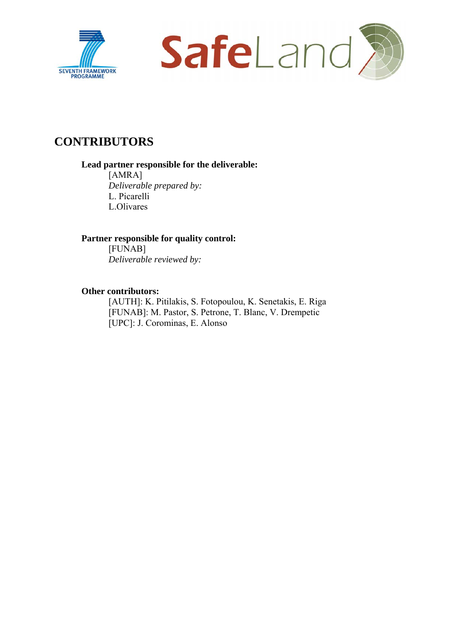



# **CONTRIBUTORS**

#### **Lead partner responsible for the deliverable:**

[AMRA] *Deliverable prepared by:*  L. Picarelli L.Olivares

#### **Partner responsible for quality control:**

[FUNAB] *Deliverable reviewed by:* 

#### **Other contributors:**

[AUTH]: K. Pitilakis, S. Fotopoulou, K. Senetakis, E. Riga [FUNAB]: M. Pastor, S. Petrone, T. Blanc, V. Drempetic [UPC]: J. Corominas, E. Alonso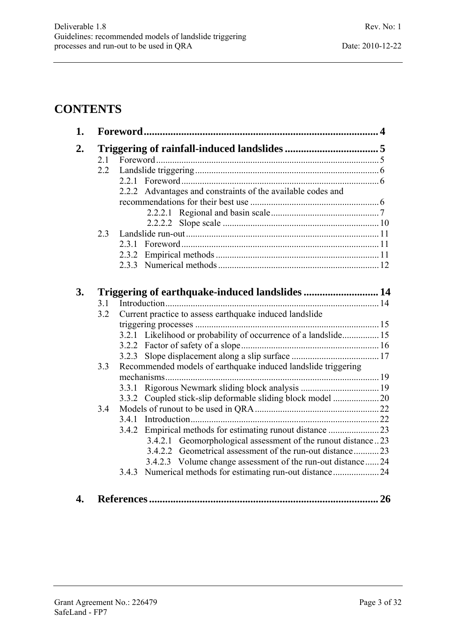# **CONTENTS**

| 1. |     |                                                                 |  |
|----|-----|-----------------------------------------------------------------|--|
| 2. |     |                                                                 |  |
|    | 2.1 |                                                                 |  |
|    | 2.2 |                                                                 |  |
|    |     |                                                                 |  |
|    |     | 2.2.2 Advantages and constraints of the available codes and     |  |
|    |     |                                                                 |  |
|    |     |                                                                 |  |
|    |     |                                                                 |  |
|    | 2.3 |                                                                 |  |
|    |     |                                                                 |  |
|    |     |                                                                 |  |
|    |     |                                                                 |  |
|    |     |                                                                 |  |
| 3. |     |                                                                 |  |
|    | 3.1 |                                                                 |  |
|    | 3.2 | Current practice to assess earthquake induced landslide         |  |
|    |     |                                                                 |  |
|    |     | 3.2.1 Likelihood or probability of occurrence of a landslide 15 |  |
|    |     |                                                                 |  |
|    |     |                                                                 |  |
|    | 3.3 | Recommended models of earthquake induced landslide triggering   |  |
|    |     |                                                                 |  |
|    |     |                                                                 |  |
|    |     |                                                                 |  |
|    | 3.4 |                                                                 |  |
|    |     |                                                                 |  |
|    |     | 3.4.2 Empirical methods for estimating runout distance 23       |  |
|    |     | 3.4.2.1 Geomorphological assessment of the runout distance23    |  |
|    |     | 3.4.2.2 Geometrical assessment of the run-out distance23        |  |
|    |     | 3.4.2.3 Volume change assessment of the run-out distance  24    |  |
|    |     | Numerical methods for estimating run-out distance24<br>3.4.3    |  |
|    |     |                                                                 |  |
| 4  |     |                                                                 |  |
|    |     |                                                                 |  |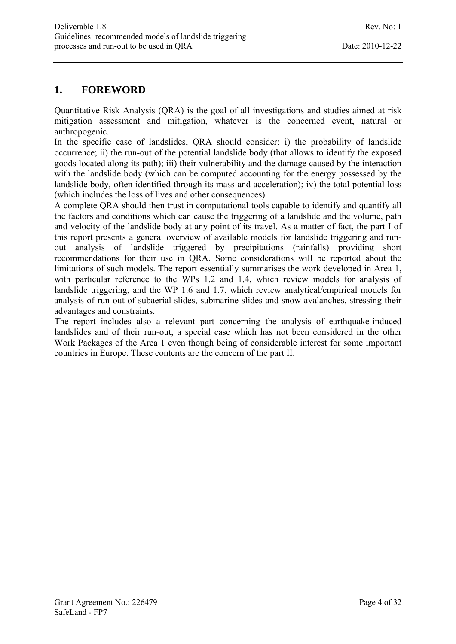## **1. FOREWORD**

Quantitative Risk Analysis (QRA) is the goal of all investigations and studies aimed at risk mitigation assessment and mitigation, whatever is the concerned event, natural or anthropogenic.

In the specific case of landslides, QRA should consider: i) the probability of landslide occurrence; ii) the run-out of the potential landslide body (that allows to identify the exposed goods located along its path); iii) their vulnerability and the damage caused by the interaction with the landslide body (which can be computed accounting for the energy possessed by the landslide body, often identified through its mass and acceleration); iv) the total potential loss (which includes the loss of lives and other consequences).

A complete QRA should then trust in computational tools capable to identify and quantify all the factors and conditions which can cause the triggering of a landslide and the volume, path and velocity of the landslide body at any point of its travel. As a matter of fact, the part I of this report presents a general overview of available models for landslide triggering and runout analysis of landslide triggered by precipitations (rainfalls) providing short recommendations for their use in QRA. Some considerations will be reported about the limitations of such models. The report essentially summarises the work developed in Area 1, with particular reference to the WPs 1.2 and 1.4, which review models for analysis of landslide triggering, and the WP 1.6 and 1.7, which review analytical/empirical models for analysis of run-out of subaerial slides, submarine slides and snow avalanches, stressing their advantages and constraints.

The report includes also a relevant part concerning the analysis of earthquake-induced landslides and of their run-out, a special case which has not been considered in the other Work Packages of the Area 1 even though being of considerable interest for some important countries in Europe. These contents are the concern of the part II.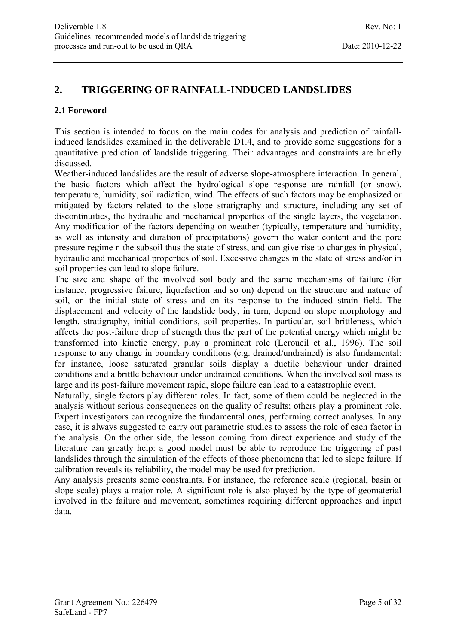## **2. TRIGGERING OF RAINFALL-INDUCED LANDSLIDES**

#### **2.1 Foreword**

This section is intended to focus on the main codes for analysis and prediction of rainfallinduced landslides examined in the deliverable D1.4, and to provide some suggestions for a quantitative prediction of landslide triggering. Their advantages and constraints are briefly discussed.

Weather-induced landslides are the result of adverse slope-atmosphere interaction. In general, the basic factors which affect the hydrological slope response are rainfall (or snow), temperature, humidity, soil radiation, wind. The effects of such factors may be emphasized or mitigated by factors related to the slope stratigraphy and structure, including any set of discontinuities, the hydraulic and mechanical properties of the single layers, the vegetation. Any modification of the factors depending on weather (typically, temperature and humidity, as well as intensity and duration of precipitations) govern the water content and the pore pressure regime n the subsoil thus the state of stress, and can give rise to changes in physical, hydraulic and mechanical properties of soil. Excessive changes in the state of stress and/or in soil properties can lead to slope failure.

The size and shape of the involved soil body and the same mechanisms of failure (for instance, progressive failure, liquefaction and so on) depend on the structure and nature of soil, on the initial state of stress and on its response to the induced strain field. The displacement and velocity of the landslide body, in turn, depend on slope morphology and length, stratigraphy, initial conditions, soil properties. In particular, soil brittleness, which affects the post-failure drop of strength thus the part of the potential energy which might be transformed into kinetic energy, play a prominent role (Leroueil et al., 1996). The soil response to any change in boundary conditions (e.g. drained/undrained) is also fundamental: for instance, loose saturated granular soils display a ductile behaviour under drained conditions and a brittle behaviour under undrained conditions. When the involved soil mass is large and its post-failure movement rapid, slope failure can lead to a catastrophic event.

Naturally, single factors play different roles. In fact, some of them could be neglected in the analysis without serious consequences on the quality of results; others play a prominent role. Expert investigators can recognize the fundamental ones, performing correct analyses. In any case, it is always suggested to carry out parametric studies to assess the role of each factor in the analysis. On the other side, the lesson coming from direct experience and study of the literature can greatly help: a good model must be able to reproduce the triggering of past landslides through the simulation of the effects of those phenomena that led to slope failure. If calibration reveals its reliability, the model may be used for prediction.

Any analysis presents some constraints. For instance, the reference scale (regional, basin or slope scale) plays a major role. A significant role is also played by the type of geomaterial involved in the failure and movement, sometimes requiring different approaches and input data.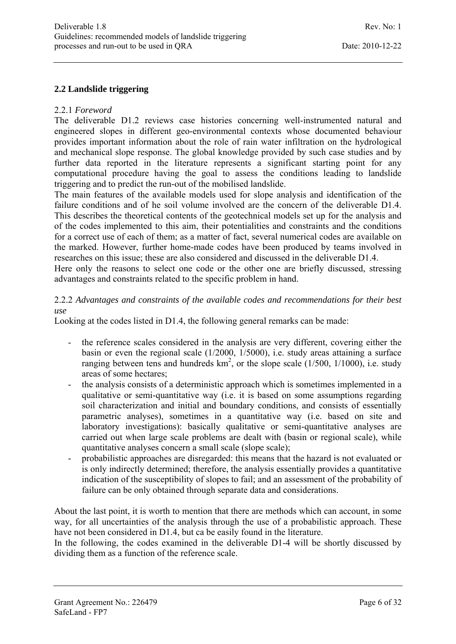#### **2.2 Landslide triggering**

#### 2.2.1 *Foreword*

The deliverable D1.2 reviews case histories concerning well-instrumented natural and engineered slopes in different geo-environmental contexts whose documented behaviour provides important information about the role of rain water infiltration on the hydrological and mechanical slope response. The global knowledge provided by such case studies and by further data reported in the literature represents a significant starting point for any computational procedure having the goal to assess the conditions leading to landslide triggering and to predict the run-out of the mobilised landslide.

The main features of the available models used for slope analysis and identification of the failure conditions and of he soil volume involved are the concern of the deliverable D1.4. This describes the theoretical contents of the geotechnical models set up for the analysis and of the codes implemented to this aim, their potentialities and constraints and the conditions for a correct use of each of them; as a matter of fact, several numerical codes are available on the marked. However, further home-made codes have been produced by teams involved in researches on this issue; these are also considered and discussed in the deliverable D1.4.

Here only the reasons to select one code or the other one are briefly discussed, stressing advantages and constraints related to the specific problem in hand.

2.2.2 *Advantages and constraints of the available codes and recommendations for their best use* 

Looking at the codes listed in D1.4, the following general remarks can be made:

- the reference scales considered in the analysis are very different, covering either the basin or even the regional scale (1/2000, 1/5000), i.e. study areas attaining a surface ranging between tens and hundreds  $km^2$ , or the slope scale (1/500, 1/1000), i.e. study areas of some hectares;
- the analysis consists of a deterministic approach which is sometimes implemented in a qualitative or semi-quantitative way (i.e. it is based on some assumptions regarding soil characterization and initial and boundary conditions, and consists of essentially parametric analyses), sometimes in a quantitative way (i.e. based on site and laboratory investigations): basically qualitative or semi-quantitative analyses are carried out when large scale problems are dealt with (basin or regional scale), while quantitative analyses concern a small scale (slope scale);
- probabilistic approaches are disregarded: this means that the hazard is not evaluated or is only indirectly determined; therefore, the analysis essentially provides a quantitative indication of the susceptibility of slopes to fail; and an assessment of the probability of failure can be only obtained through separate data and considerations.

About the last point, it is worth to mention that there are methods which can account, in some way, for all uncertainties of the analysis through the use of a probabilistic approach. These have not been considered in D1.4, but ca be easily found in the literature.

In the following, the codes examined in the deliverable D1-4 will be shortly discussed by dividing them as a function of the reference scale.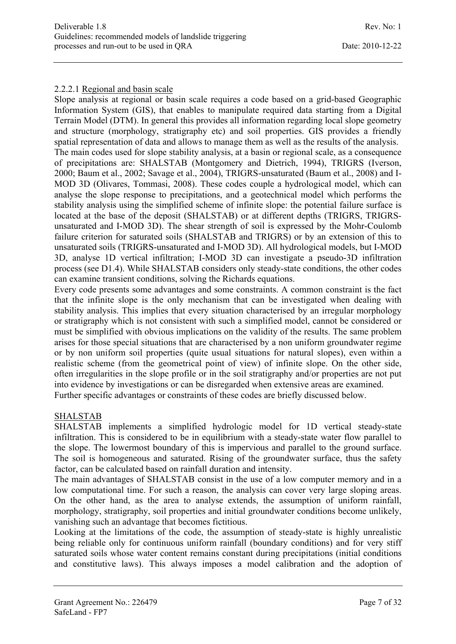#### 2.2.2.1 Regional and basin scale

Slope analysis at regional or basin scale requires a code based on a grid-based Geographic Information System (GIS), that enables to manipulate required data starting from a Digital Terrain Model (DTM). In general this provides all information regarding local slope geometry and structure (morphology, stratigraphy etc) and soil properties. GIS provides a friendly spatial representation of data and allows to manage them as well as the results of the analysis. The main codes used for slope stability analysis, at a basin or regional scale, as a consequence of precipitations are: SHALSTAB (Montgomery and Dietrich, 1994), TRIGRS (Iverson, 2000; Baum et al., 2002; Savage et al., 2004), TRIGRS-unsaturated (Baum et al., 2008) and I-MOD 3D (Olivares, Tommasi, 2008). These codes couple a hydrological model, which can analyse the slope response to precipitations, and a geotechnical model which performs the stability analysis using the simplified scheme of infinite slope: the potential failure surface is located at the base of the deposit (SHALSTAB) or at different depths (TRIGRS, TRIGRSunsaturated and I-MOD 3D). The shear strength of soil is expressed by the Mohr-Coulomb failure criterion for saturated soils (SHALSTAB and TRIGRS) or by an extension of this to unsaturated soils (TRIGRS-unsaturated and I-MOD 3D). All hydrological models, but I-MOD 3D, analyse 1D vertical infiltration; I-MOD 3D can investigate a pseudo-3D infiltration process (see D1.4). While SHALSTAB considers only steady-state conditions, the other codes can examine transient conditions, solving the Richards equations.

Every code presents some advantages and some constraints. A common constraint is the fact that the infinite slope is the only mechanism that can be investigated when dealing with stability analysis. This implies that every situation characterised by an irregular morphology or stratigraphy which is not consistent with such a simplified model, cannot be considered or must be simplified with obvious implications on the validity of the results. The same problem arises for those special situations that are characterised by a non uniform groundwater regime or by non uniform soil properties (quite usual situations for natural slopes), even within a realistic scheme (from the geometrical point of view) of infinite slope. On the other side, often irregularities in the slope profile or in the soil stratigraphy and/or properties are not put into evidence by investigations or can be disregarded when extensive areas are examined. Further specific advantages or constraints of these codes are briefly discussed below.

#### SHALSTAB

SHALSTAB implements a simplified hydrologic model for 1D vertical steady-state infiltration. This is considered to be in equilibrium with a steady-state water flow parallel to the slope. The lowermost boundary of this is impervious and parallel to the ground surface. The soil is homogeneous and saturated. Rising of the groundwater surface, thus the safety factor, can be calculated based on rainfall duration and intensity.

The main advantages of SHALSTAB consist in the use of a low computer memory and in a low computational time. For such a reason, the analysis can cover very large sloping areas. On the other hand, as the area to analyse extends, the assumption of uniform rainfall, morphology, stratigraphy, soil properties and initial groundwater conditions become unlikely, vanishing such an advantage that becomes fictitious.

Looking at the limitations of the code, the assumption of steady-state is highly unrealistic being reliable only for continuous uniform rainfall (boundary conditions) and for very stiff saturated soils whose water content remains constant during precipitations (initial conditions and constitutive laws). This always imposes a model calibration and the adoption of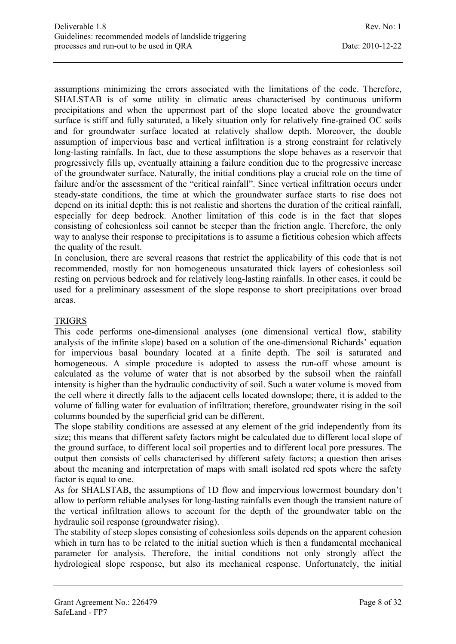assumptions minimizing the errors associated with the limitations of the code. Therefore, SHALSTAB is of some utility in climatic areas characterised by continuous uniform precipitations and when the uppermost part of the slope located above the groundwater surface is stiff and fully saturated, a likely situation only for relatively fine-grained OC soils and for groundwater surface located at relatively shallow depth. Moreover, the double assumption of impervious base and vertical infiltration is a strong constraint for relatively long-lasting rainfalls. In fact, due to these assumptions the slope behaves as a reservoir that progressively fills up, eventually attaining a failure condition due to the progressive increase of the groundwater surface. Naturally, the initial conditions play a crucial role on the time of failure and/or the assessment of the "critical rainfall". Since vertical infiltration occurs under steady-state conditions, the time at which the groundwater surface starts to rise does not depend on its initial depth: this is not realistic and shortens the duration of the critical rainfall, especially for deep bedrock. Another limitation of this code is in the fact that slopes consisting of cohesionless soil cannot be steeper than the friction angle. Therefore, the only way to analyse their response to precipitations is to assume a fictitious cohesion which affects the quality of the result.

In conclusion, there are several reasons that restrict the applicability of this code that is not recommended, mostly for non homogeneous unsaturated thick layers of cohesionless soil resting on pervious bedrock and for relatively long-lasting rainfalls. In other cases, it could be used for a preliminary assessment of the slope response to short precipitations over broad areas.

#### TRIGRS

This code performs one-dimensional analyses (one dimensional vertical flow, stability analysis of the infinite slope) based on a solution of the one-dimensional Richards' equation for impervious basal boundary located at a finite depth. The soil is saturated and homogeneous. A simple procedure is adopted to assess the run-off whose amount is calculated as the volume of water that is not absorbed by the subsoil when the rainfall intensity is higher than the hydraulic conductivity of soil. Such a water volume is moved from the cell where it directly falls to the adjacent cells located downslope; there, it is added to the volume of falling water for evaluation of infiltration; therefore, groundwater rising in the soil columns bounded by the superficial grid can be different.

The slope stability conditions are assessed at any element of the grid independently from its size; this means that different safety factors might be calculated due to different local slope of the ground surface, to different local soil properties and to different local pore pressures. The output then consists of cells characterised by different safety factors; a question then arises about the meaning and interpretation of maps with small isolated red spots where the safety factor is equal to one.

As for SHALSTAB, the assumptions of 1D flow and impervious lowermost boundary don't allow to perform reliable analyses for long-lasting rainfalls even though the transient nature of the vertical infiltration allows to account for the depth of the groundwater table on the hydraulic soil response (groundwater rising).

The stability of steep slopes consisting of cohesionless soils depends on the apparent cohesion which in turn has to be related to the initial suction which is then a fundamental mechanical parameter for analysis. Therefore, the initial conditions not only strongly affect the hydrological slope response, but also its mechanical response. Unfortunately, the initial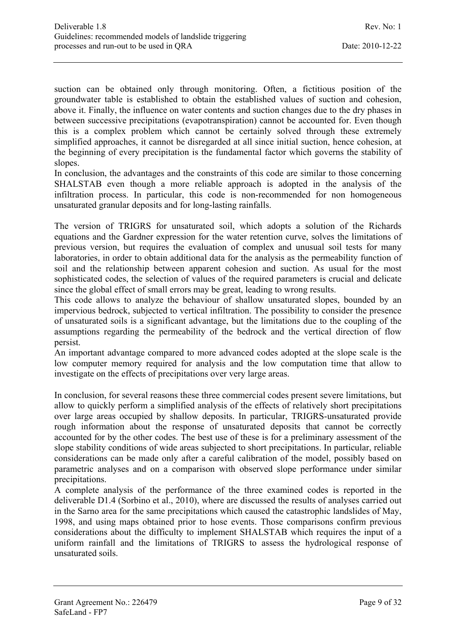suction can be obtained only through monitoring. Often, a fictitious position of the groundwater table is established to obtain the established values of suction and cohesion, above it. Finally, the influence on water contents and suction changes due to the dry phases in between successive precipitations (evapotranspiration) cannot be accounted for. Even though this is a complex problem which cannot be certainly solved through these extremely simplified approaches, it cannot be disregarded at all since initial suction, hence cohesion, at the beginning of every precipitation is the fundamental factor which governs the stability of slopes.

In conclusion, the advantages and the constraints of this code are similar to those concerning SHALSTAB even though a more reliable approach is adopted in the analysis of the infiltration process. In particular, this code is non-recommended for non homogeneous unsaturated granular deposits and for long-lasting rainfalls.

The version of TRIGRS for unsaturated soil, which adopts a solution of the Richards equations and the Gardner expression for the water retention curve, solves the limitations of previous version, but requires the evaluation of complex and unusual soil tests for many laboratories, in order to obtain additional data for the analysis as the permeability function of soil and the relationship between apparent cohesion and suction. As usual for the most sophisticated codes, the selection of values of the required parameters is crucial and delicate since the global effect of small errors may be great, leading to wrong results.

This code allows to analyze the behaviour of shallow unsaturated slopes, bounded by an impervious bedrock, subjected to vertical infiltration. The possibility to consider the presence of unsaturated soils is a significant advantage, but the limitations due to the coupling of the assumptions regarding the permeability of the bedrock and the vertical direction of flow persist.

An important advantage compared to more advanced codes adopted at the slope scale is the low computer memory required for analysis and the low computation time that allow to investigate on the effects of precipitations over very large areas.

In conclusion, for several reasons these three commercial codes present severe limitations, but allow to quickly perform a simplified analysis of the effects of relatively short precipitations over large areas occupied by shallow deposits. In particular, TRIGRS-unsaturated provide rough information about the response of unsaturated deposits that cannot be correctly accounted for by the other codes. The best use of these is for a preliminary assessment of the slope stability conditions of wide areas subjected to short precipitations. In particular, reliable considerations can be made only after a careful calibration of the model, possibly based on parametric analyses and on a comparison with observed slope performance under similar precipitations.

A complete analysis of the performance of the three examined codes is reported in the deliverable D1.4 (Sorbino et al., 2010), where are discussed the results of analyses carried out in the Sarno area for the same precipitations which caused the catastrophic landslides of May, 1998, and using maps obtained prior to hose events. Those comparisons confirm previous considerations about the difficulty to implement SHALSTAB which requires the input of a uniform rainfall and the limitations of TRIGRS to assess the hydrological response of unsaturated soils.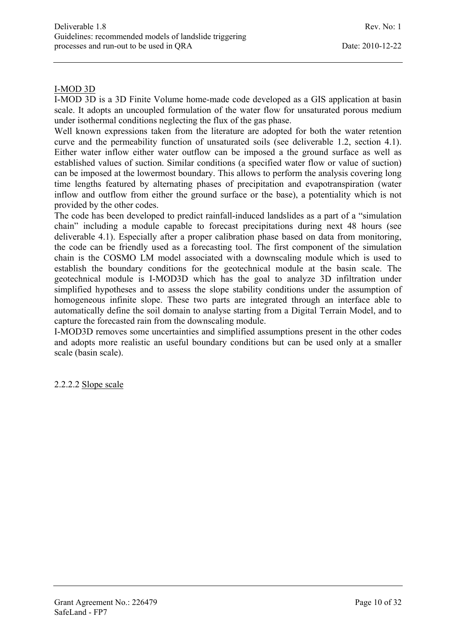#### I-MOD 3D

I-MOD 3D is a 3D Finite Volume home-made code developed as a GIS application at basin scale. It adopts an uncoupled formulation of the water flow for unsaturated porous medium under isothermal conditions neglecting the flux of the gas phase.

Well known expressions taken from the literature are adopted for both the water retention curve and the permeability function of unsaturated soils (see deliverable 1.2, section 4.1). Either water inflow either water outflow can be imposed a the ground surface as well as established values of suction. Similar conditions (a specified water flow or value of suction) can be imposed at the lowermost boundary. This allows to perform the analysis covering long time lengths featured by alternating phases of precipitation and evapotranspiration (water inflow and outflow from either the ground surface or the base), a potentiality which is not provided by the other codes.

The code has been developed to predict rainfall-induced landslides as a part of a "simulation chain" including a module capable to forecast precipitations during next 48 hours (see deliverable 4.1). Especially after a proper calibration phase based on data from monitoring, the code can be friendly used as a forecasting tool. The first component of the simulation chain is the COSMO LM model associated with a downscaling module which is used to establish the boundary conditions for the geotechnical module at the basin scale. The geotechnical module is I-MOD3D which has the goal to analyze 3D infiltration under simplified hypotheses and to assess the slope stability conditions under the assumption of homogeneous infinite slope. These two parts are integrated through an interface able to automatically define the soil domain to analyse starting from a Digital Terrain Model, and to capture the forecasted rain from the downscaling module.

I-MOD3D removes some uncertainties and simplified assumptions present in the other codes and adopts more realistic an useful boundary conditions but can be used only at a smaller scale (basin scale).

2.2.2.2 Slope scale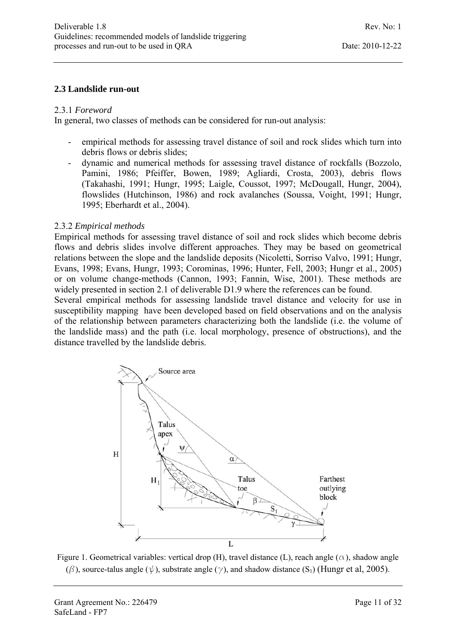#### **2.3 Landslide run-out**

#### 2.3.1 *Foreword*

In general, two classes of methods can be considered for run-out analysis:

- empirical methods for assessing travel distance of soil and rock slides which turn into debris flows or debris slides;
- dynamic and numerical methods for assessing travel distance of rockfalls (Bozzolo, Pamini, 1986; Pfeiffer, Bowen, 1989; Agliardi, Crosta, 2003), debris flows (Takahashi, 1991; Hungr, 1995; Laigle, Coussot, 1997; McDougall, Hungr, 2004), flowslides (Hutchinson, 1986) and rock avalanches (Soussa, Voight, 1991; Hungr, 1995; Eberhardt et al., 2004).

#### 2.3.2 *Empirical methods*

Empirical methods for assessing travel distance of soil and rock slides which become debris flows and debris slides involve different approaches. They may be based on geometrical relations between the slope and the landslide deposits (Nicoletti, Sorriso Valvo, 1991; Hungr, Evans, 1998; Evans, Hungr, 1993; Corominas, 1996; Hunter, Fell, 2003; Hungr et al., 2005) or on volume change-methods (Cannon, 1993; Fannin, Wise, 2001). These methods are widely presented in section 2.1 of deliverable D1.9 where the references can be found.

Several empirical methods for assessing landslide travel distance and velocity for use in susceptibility mapping have been developed based on field observations and on the analysis of the relationship between parameters characterizing both the landslide (i.e. the volume of the landslide mass) and the path (i.e. local morphology, presence of obstructions), and the distance travelled by the landslide debris.



Figure 1. Geometrical variables: vertical drop (H), travel distance (L), reach angle ( $\alpha$ ), shadow angle ( $\beta$ ), source-talus angle ( $\psi$ ), substrate angle ( $\gamma$ ), and shadow distance (S<sub>1</sub>) (Hungr et al, 2005).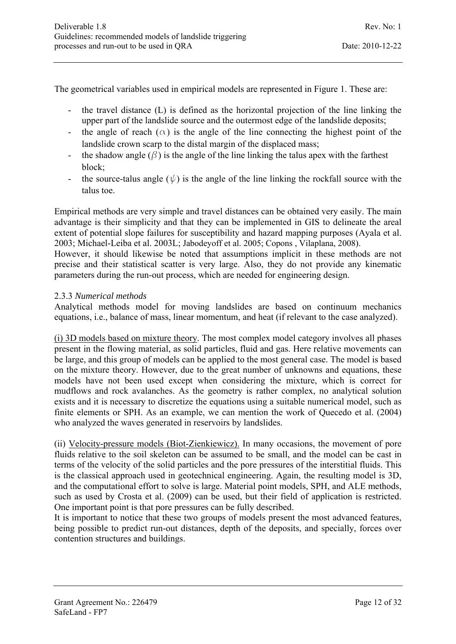The geometrical variables used in empirical models are represented in Figure 1. These are:

- the travel distance (L) is defined as the horizontal projection of the line linking the upper part of the landslide source and the outermost edge of the landslide deposits;
- the angle of reach  $(\alpha)$  is the angle of the line connecting the highest point of the landslide crown scarp to the distal margin of the displaced mass;
- the shadow angle  $(\beta)$  is the angle of the line linking the talus apex with the farthest block;
- the source-talus angle  $(\psi)$  is the angle of the line linking the rockfall source with the talus toe.

Empirical methods are very simple and travel distances can be obtained very easily. The main advantage is their simplicity and that they can be implemented in GIS to delineate the areal extent of potential slope failures for susceptibility and hazard mapping purposes (Ayala et al. 2003; Michael-Leiba et al. 2003L; Jabodeyoff et al. 2005; Copons , Vilaplana, 2008).

However, it should likewise be noted that assumptions implicit in these methods are not precise and their statistical scatter is very large. Also, they do not provide any kinematic parameters during the run-out process, which are needed for engineering design.

#### 2.3.3 *Numerical methods*

Analytical methods model for moving landslides are based on continuum mechanics equations, i.e., balance of mass, linear momentum, and heat (if relevant to the case analyzed).

(i) 3D models based on mixture theory. The most complex model category involves all phases present in the flowing material, as solid particles, fluid and gas. Here relative movements can be large, and this group of models can be applied to the most general case. The model is based on the mixture theory. However, due to the great number of unknowns and equations, these models have not been used except when considering the mixture, which is correct for mudflows and rock avalanches. As the geometry is rather complex, no analytical solution exists and it is necessary to discretize the equations using a suitable numerical model, such as finite elements or SPH. As an example, we can mention the work of Quecedo et al. (2004) who analyzed the waves generated in reservoirs by landslides.

(ii) Velocity-pressure models (Biot-Zienkiewicz). In many occasions, the movement of pore fluids relative to the soil skeleton can be assumed to be small, and the model can be cast in terms of the velocity of the solid particles and the pore pressures of the interstitial fluids. This is the classical approach used in geotechnical engineering. Again, the resulting model is 3D, and the computational effort to solve is large. Material point models, SPH, and ALE methods, such as used by Crosta et al. (2009) can be used, but their field of application is restricted. One important point is that pore pressures can be fully described.

It is important to notice that these two groups of models present the most advanced features, being possible to predict run-out distances, depth of the deposits, and specially, forces over contention structures and buildings.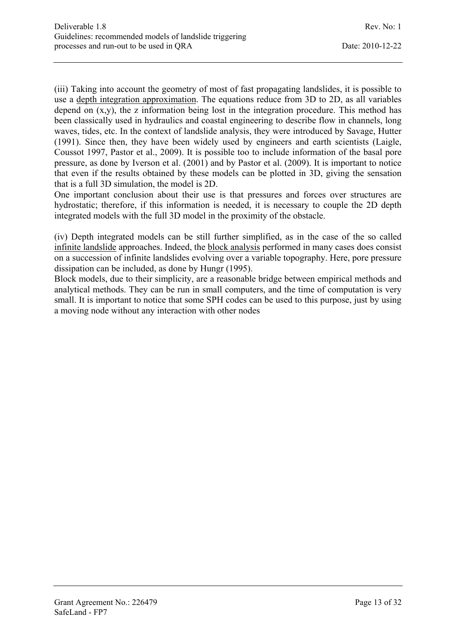(iii) Taking into account the geometry of most of fast propagating landslides, it is possible to use a depth integration approximation. The equations reduce from 3D to 2D, as all variables depend on (x,y), the z information being lost in the integration procedure. This method has been classically used in hydraulics and coastal engineering to describe flow in channels, long waves, tides, etc. In the context of landslide analysis, they were introduced by Savage, Hutter (1991). Since then, they have been widely used by engineers and earth scientists (Laigle, Coussot 1997, Pastor et al., 2009). It is possible too to include information of the basal pore pressure, as done by Iverson et al. (2001) and by Pastor et al. (2009). It is important to notice that even if the results obtained by these models can be plotted in 3D, giving the sensation that is a full 3D simulation, the model is 2D.

One important conclusion about their use is that pressures and forces over structures are hydrostatic; therefore, if this information is needed, it is necessary to couple the 2D depth integrated models with the full 3D model in the proximity of the obstacle.

(iv) Depth integrated models can be still further simplified, as in the case of the so called infinite landslide approaches. Indeed, the block analysis performed in many cases does consist on a succession of infinite landslides evolving over a variable topography. Here, pore pressure dissipation can be included, as done by Hungr (1995).

Block models, due to their simplicity, are a reasonable bridge between empirical methods and analytical methods. They can be run in small computers, and the time of computation is very small. It is important to notice that some SPH codes can be used to this purpose, just by using a moving node without any interaction with other nodes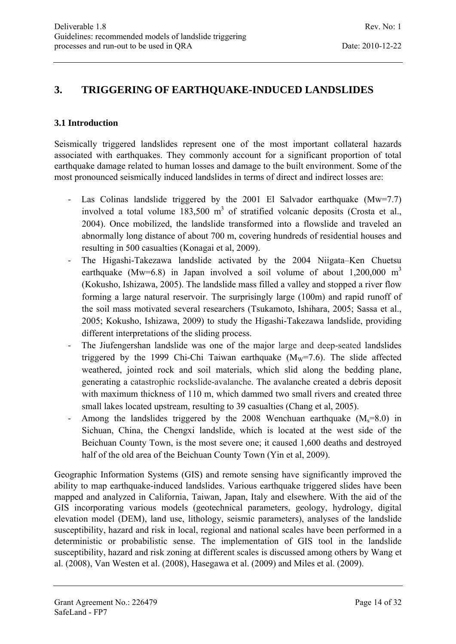## **3. TRIGGERING OF EARTHQUAKE-INDUCED LANDSLIDES**

#### **3.1 Introduction**

Seismically triggered landslides represent one of the most important collateral hazards associated with earthquakes. They commonly account for a significant proportion of total earthquake damage related to human losses and damage to the built environment. Some of the most pronounced seismically induced landslides in terms of direct and indirect losses are:

- ‐ Las Colinas landslide triggered by the 2001 El Salvador earthquake (Mw=7.7) involved a total volume  $183,500 \text{ m}^3$  of stratified volcanic deposits (Crosta et al., 2004). Once mobilized, the landslide transformed into a flowslide and traveled an abnormally long distance of about 700 m, covering hundreds of residential houses and resulting in 500 casualties (Konagai et al, 2009).
- ‐ The Higashi-Takezawa landslide activated by the 2004 Niigata–Ken Chuetsu earthquake (Mw=6.8) in Japan involved a soil volume of about  $1.200,000 \text{ m}^3$ (Kokusho, Ishizawa, 2005). The landslide mass filled a valley and stopped a river flow forming a large natural reservoir. The surprisingly large (100m) and rapid runoff of the soil mass motivated several researchers (Tsukamoto, Ishihara, 2005; Sassa et al., 2005; Kokusho, Ishizawa, 2009) to study the Higashi-Takezawa landslide, providing different interpretations of the sliding process.
- ‐ The Jiufengershan landslide was one of the major large and deep-seated landslides triggered by the 1999 Chi-Chi Taiwan earthquake  $(M_w=7.6)$ . The slide affected weathered, jointed rock and soil materials, which slid along the bedding plane, generating a catastrophic rockslide-avalanche. The avalanche created a debris deposit with maximum thickness of 110 m, which dammed two small rivers and created three small lakes located upstream, resulting to 39 casualties (Chang et al, 2005).
- Among the landslides triggered by the 2008 Wenchuan earthquake  $(M<sub>s</sub>=8.0)$  in Sichuan, China, the Chengxi landslide, which is located at the west side of the Beichuan County Town, is the most severe one; it caused 1,600 deaths and destroyed half of the old area of the Beichuan County Town (Yin et al, 2009).

Geographic Information Systems (GIS) and remote sensing have significantly improved the ability to map earthquake-induced landslides. Various earthquake triggered slides have been mapped and analyzed in California, Taiwan, Japan, Italy and elsewhere. With the aid of the GIS incorporating various models (geotechnical parameters, geology, hydrology, digital elevation model (DEM), land use, lithology, seismic parameters), analyses of the landslide susceptibility, hazard and risk in local, regional and national scales have been performed in a deterministic or probabilistic sense. The implementation of GIS tool in the landslide susceptibility, hazard and risk zoning at different scales is discussed among others by Wang et al. (2008), Van Westen et al. (2008), Hasegawa et al. (2009) and Miles et al. (2009).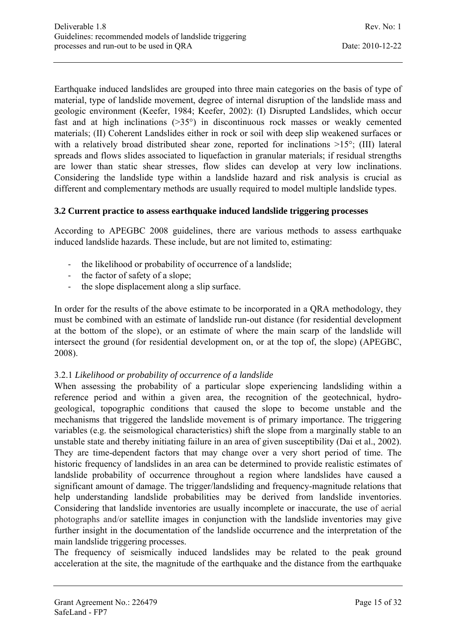Earthquake induced landslides are grouped into three main categories on the basis of type of material, type of landslide movement, degree of internal disruption of the landslide mass and geologic environment (Keefer, 1984; Keefer, 2002): (I) Disrupted Landslides, which occur fast and at high inclinations (>35°) in discontinuous rock masses or weakly cemented materials; (II) Coherent Landslides either in rock or soil with deep slip weakened surfaces or with a relatively broad distributed shear zone, reported for inclinations  $>15^{\circ}$ ; (III) lateral spreads and flows slides associated to liquefaction in granular materials; if residual strengths are lower than static shear stresses, flow slides can develop at very low inclinations. Considering the landslide type within a landslide hazard and risk analysis is crucial as different and complementary methods are usually required to model multiple landslide types.

#### **3.2 Current practice to assess earthquake induced landslide triggering processes**

According to APEGBC 2008 guidelines, there are various methods to assess earthquake induced landslide hazards. These include, but are not limited to, estimating:

- the likelihood or probability of occurrence of a landslide;
- ‐ the factor of safety of a slope;
- ‐ the slope displacement along a slip surface.

In order for the results of the above estimate to be incorporated in a QRA methodology, they must be combined with an estimate of landslide run-out distance (for residential development at the bottom of the slope), or an estimate of where the main scarp of the landslide will intersect the ground (for residential development on, or at the top of, the slope) (APEGBC, 2008).

#### 3.2.1 *Likelihood or probability of occurrence of a landslide*

When assessing the probability of a particular slope experiencing landsliding within a reference period and within a given area, the recognition of the geotechnical, hydrogeological, topographic conditions that caused the slope to become unstable and the mechanisms that triggered the landslide movement is of primary importance. The triggering variables (e.g. the seismological characteristics) shift the slope from a marginally stable to an unstable state and thereby initiating failure in an area of given susceptibility (Dai et al., 2002). They are time-dependent factors that may change over a very short period of time. The historic frequency of landslides in an area can be determined to provide realistic estimates of landslide probability of occurrence throughout a region where landslides have caused a significant amount of damage. The trigger/landsliding and frequency-magnitude relations that help understanding landslide probabilities may be derived from landslide inventories. Considering that landslide inventories are usually incomplete or inaccurate, the use of aerial photographs and/or satellite images in conjunction with the landslide inventories may give further insight in the documentation of the landslide occurrence and the interpretation of the main landslide triggering processes.

The frequency of seismically induced landslides may be related to the peak ground acceleration at the site, the magnitude of the earthquake and the distance from the earthquake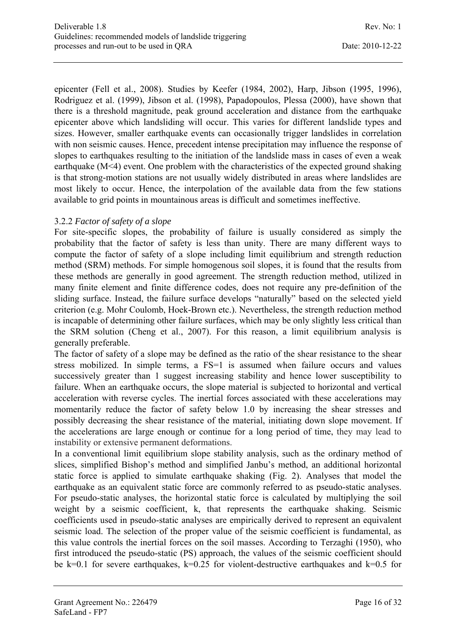epicenter (Fell et al., 2008). Studies by Keefer (1984, 2002), Harp, Jibson (1995, 1996), Rodriguez et al. (1999), Jibson et al. (1998), Papadopoulos, Plessa (2000), have shown that there is a threshold magnitude, peak ground acceleration and distance from the earthquake epicenter above which landsliding will occur. This varies for different landslide types and sizes. However, smaller earthquake events can occasionally trigger landslides in correlation with non seismic causes. Hence, precedent intense precipitation may influence the response of slopes to earthquakes resulting to the initiation of the landslide mass in cases of even a weak earthquake (M<4) event. One problem with the characteristics of the expected ground shaking is that strong-motion stations are not usually widely distributed in areas where landslides are most likely to occur. Hence, the interpolation of the available data from the few stations available to grid points in mountainous areas is difficult and sometimes ineffective.

#### 3.2.2 *Factor of safety of a slope*

For site-specific slopes, the probability of failure is usually considered as simply the probability that the factor of safety is less than unity. There are many different ways to compute the factor of safety of a slope including limit equilibrium and strength reduction method (SRM) methods. For simple homogenous soil slopes, it is found that the results from these methods are generally in good agreement. The strength reduction method, utilized in many finite element and finite difference codes, does not require any pre-definition of the sliding surface. Instead, the failure surface develops "naturally" based on the selected yield criterion (e.g. Mohr Coulomb, Hoek-Brown etc.). Nevertheless, the strength reduction method is incapable of determining other failure surfaces, which may be only slightly less critical than the SRM solution (Cheng et al., 2007). For this reason, a limit equilibrium analysis is generally preferable.

The factor of safety of a slope may be defined as the ratio of the shear resistance to the shear stress mobilized. In simple terms, a FS=1 is assumed when failure occurs and values successively greater than 1 suggest increasing stability and hence lower susceptibility to failure. When an earthquake occurs, the slope material is subjected to horizontal and vertical acceleration with reverse cycles. The inertial forces associated with these accelerations may momentarily reduce the factor of safety below 1.0 by increasing the shear stresses and possibly decreasing the shear resistance of the material, initiating down slope movement. If the accelerations are large enough or continue for a long period of time, they may lead to instability or extensive permanent deformations.

In a conventional limit equilibrium slope stability analysis, such as the ordinary method of slices, simplified Bishop's method and simplified Janbu's method, an additional horizontal static force is applied to simulate earthquake shaking (Fig. 2). Analyses that model the earthquake as an equivalent static force are commonly referred to as pseudo-static analyses. For pseudo-static analyses, the horizontal static force is calculated by multiplying the soil weight by a seismic coefficient, k, that represents the earthquake shaking. Seismic coefficients used in pseudo-static analyses are empirically derived to represent an equivalent seismic load. The selection of the proper value of the seismic coefficient is fundamental, as this value controls the inertial forces on the soil masses. According to Terzaghi (1950), who first introduced the pseudo-static (PS) approach, the values of the seismic coefficient should be k=0.1 for severe earthquakes, k=0.25 for violent-destructive earthquakes and k=0.5 for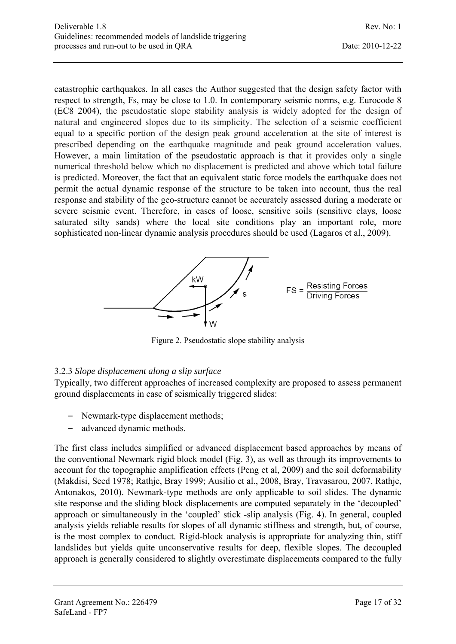catastrophic earthquakes. In all cases the Author suggested that the design safety factor with respect to strength, Fs, may be close to 1.0. In contemporary seismic norms, e.g. Eurocode 8 (EC8 2004), the pseudostatic slope stability analysis is widely adopted for the design of natural and engineered slopes due to its simplicity. The selection of a seismic coefficient equal to a specific portion of the design peak ground acceleration at the site of interest is prescribed depending on the earthquake magnitude and peak ground acceleration values. However, a main limitation of the pseudostatic approach is that it provides only a single numerical threshold below which no displacement is predicted and above which total failure is predicted. Moreover, the fact that an equivalent static force models the earthquake does not permit the actual dynamic response of the structure to be taken into account, thus the real response and stability of the geo-structure cannot be accurately assessed during a moderate or severe seismic event. Therefore, in cases of loose, sensitive soils (sensitive clays, loose saturated silty sands) where the local site conditions play an important role, more sophisticated non-linear dynamic analysis procedures should be used (Lagaros et al., 2009).



Figure 2. Pseudostatic slope stability analysis

#### 3.2.3 *Slope displacement along a slip surface*

Typically, two different approaches of increased complexity are proposed to assess permanent ground displacements in case of seismically triggered slides:

- Newmark-type displacement methods;
- advanced dynamic methods.

The first class includes simplified or advanced displacement based approaches by means of the conventional Newmark rigid block model (Fig. 3), as well as through its improvements to account for the topographic amplification effects (Peng et al, 2009) and the soil deformability (Makdisi, Seed 1978; Rathje, Bray 1999; Ausilio et al., 2008, Bray, Travasarou, 2007, Rathje, Antonakos, 2010). Newmark-type methods are only applicable to soil slides. The dynamic site response and the sliding block displacements are computed separately in the 'decoupled' approach or simultaneously in the 'coupled' stick -slip analysis (Fig. 4). In general, coupled analysis yields reliable results for slopes of all dynamic stiffness and strength, but, of course, is the most complex to conduct. Rigid-block analysis is appropriate for analyzing thin, stiff landslides but yields quite unconservative results for deep, flexible slopes. The decoupled approach is generally considered to slightly overestimate displacements compared to the fully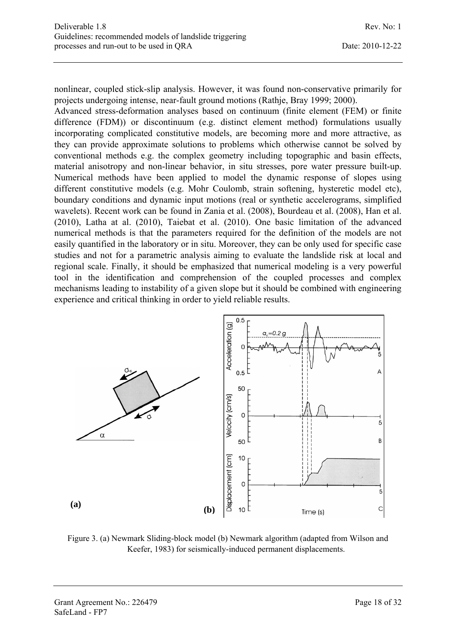nonlinear, coupled stick-slip analysis. However, it was found non-conservative primarily for projects undergoing intense, near-fault ground motions (Rathje, Bray 1999; 2000).

Advanced stress-deformation analyses based on continuum (finite element (FEM) or finite difference (FDM)) or discontinuum (e.g. distinct element method) formulations usually incorporating complicated constitutive models, are becoming more and more attractive, as they can provide approximate solutions to problems which otherwise cannot be solved by conventional methods e.g. the complex geometry including topographic and basin effects, material anisotropy and non-linear behavior, in situ stresses, pore water pressure built-up. Numerical methods have been applied to model the dynamic response of slopes using different constitutive models (e.g. Mohr Coulomb, strain softening, hysteretic model etc), boundary conditions and dynamic input motions (real or synthetic accelerograms, simplified wavelets). Recent work can be found in Zania et al. (2008), Bourdeau et al. (2008), Han et al. (2010), Latha at al. (2010), Taiebat et al. (2010). One basic limitation of the advanced numerical methods is that the parameters required for the definition of the models are not easily quantified in the laboratory or in situ. Moreover, they can be only used for specific case studies and not for a parametric analysis aiming to evaluate the landslide risk at local and regional scale. Finally, it should be emphasized that numerical modeling is a very powerful tool in the identification and comprehension of the coupled processes and complex mechanisms leading to instability of a given slope but it should be combined with engineering experience and critical thinking in order to yield reliable results.



Figure 3. (a) Newmark Sliding-block model (b) Newmark algorithm (adapted from Wilson and Keefer, 1983) for seismically-induced permanent displacements.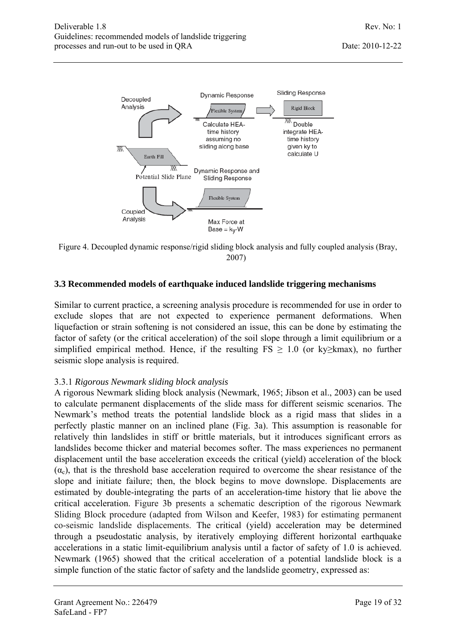

Figure 4. Decoupled dynamic response/rigid sliding block analysis and fully coupled analysis (Bray, 2007)

#### **3.3 Recommended models of earthquake induced landslide triggering mechanisms**

Similar to current practice, a screening analysis procedure is recommended for use in order to exclude slopes that are not expected to experience permanent deformations. When liquefaction or strain softening is not considered an issue, this can be done by estimating the factor of safety (or the critical acceleration) of the soil slope through a limit equilibrium or a simplified empirical method. Hence, if the resulting  $FS \geq 1.0$  (or ky≥kmax), no further seismic slope analysis is required.

#### 3.3.1 *Rigorous Newmark sliding block analysis*

A rigorous Newmark sliding block analysis (Newmark, 1965; Jibson et al., 2003) can be used to calculate permanent displacements of the slide mass for different seismic scenarios. The Newmark's method treats the potential landslide block as a rigid mass that slides in a perfectly plastic manner on an inclined plane (Fig. 3a). This assumption is reasonable for relatively thin landslides in stiff or brittle materials, but it introduces significant errors as landslides become thicker and material becomes softer. The mass experiences no permanent displacement until the base acceleration exceeds the critical (yield) acceleration of the block  $(\alpha_c)$ , that is the threshold base acceleration required to overcome the shear resistance of the slope and initiate failure; then, the block begins to move downslope. Displacements are estimated by double-integrating the parts of an acceleration-time history that lie above the critical acceleration. Figure 3b presents a schematic description of the rigorous Newmark Sliding Block procedure (adapted from Wilson and Keefer, 1983) for estimating permanent co-seismic landslide displacements. The critical (yield) acceleration may be determined through a pseudostatic analysis, by iteratively employing different horizontal earthquake accelerations in a static limit-equilibrium analysis until a factor of safety of 1.0 is achieved. Newmark (1965) showed that the critical acceleration of a potential landslide block is a simple function of the static factor of safety and the landslide geometry, expressed as: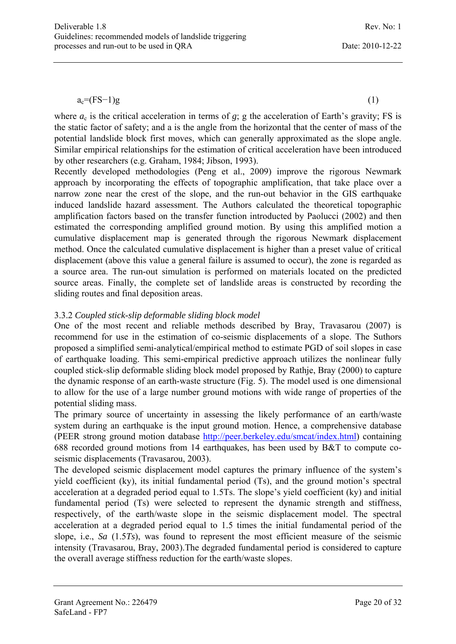$a_c = (FS-1)g$  (1)

where  $a_c$  is the critical acceleration in terms of  $g$ ; g the acceleration of Earth's gravity; FS is the static factor of safety; and a is the angle from the horizontal that the center of mass of the potential landslide block first moves, which can generally approximated as the slope angle. Similar empirical relationships for the estimation of critical acceleration have been introduced by other researchers (e.g. Graham, 1984; Jibson, 1993).

Recently developed methodologies (Peng et al., 2009) improve the rigorous Newmark approach by incorporating the effects of topographic amplification, that take place over a narrow zone near the crest of the slope, and the run-out behavior in the GIS earthquake induced landslide hazard assessment. The Authors calculated the theoretical topographic amplification factors based on the transfer function introducted by Paolucci (2002) and then estimated the corresponding amplified ground motion. By using this amplified motion a cumulative displacement map is generated through the rigorous Newmark displacement method. Once the calculated cumulative displacement is higher than a preset value of critical displacement (above this value a general failure is assumed to occur), the zone is regarded as a source area. The run-out simulation is performed on materials located on the predicted source areas. Finally, the complete set of landslide areas is constructed by recording the sliding routes and final deposition areas.

#### 3.3.2 *Coupled stick-slip deformable sliding block model*

One of the most recent and reliable methods described by Bray, Travasarou (2007) is recommend for use in the estimation of co-seismic displacements of a slope. The Suthors proposed a simplified semi-analytical/empirical method to estimate PGD of soil slopes in case of earthquake loading. This semi-empirical predictive approach utilizes the nonlinear fully coupled stick-slip deformable sliding block model proposed by Rathje, Bray (2000) to capture the dynamic response of an earth-waste structure (Fig. 5). The model used is one dimensional to allow for the use of a large number ground motions with wide range of properties of the potential sliding mass.

The primary source of uncertainty in assessing the likely performance of an earth/waste system during an earthquake is the input ground motion. Hence, a comprehensive database (PEER strong ground motion database http://peer.berkeley.edu/smcat/index.html) containing 688 recorded ground motions from 14 earthquakes, has been used by B&T to compute coseismic displacements (Travasarou, 2003).

The developed seismic displacement model captures the primary influence of the system's yield coefficient (ky), its initial fundamental period (Ts), and the ground motion's spectral acceleration at a degraded period equal to 1.5Ts. The slope's yield coefficient (ky) and initial fundamental period (Ts) were selected to represent the dynamic strength and stiffness, respectively, of the earth/waste slope in the seismic displacement model. The spectral acceleration at a degraded period equal to 1.5 times the initial fundamental period of the slope, i.e., *Sa* (1.5*Ts*), was found to represent the most efficient measure of the seismic intensity (Travasarou, Bray, 2003).The degraded fundamental period is considered to capture the overall average stiffness reduction for the earth/waste slopes.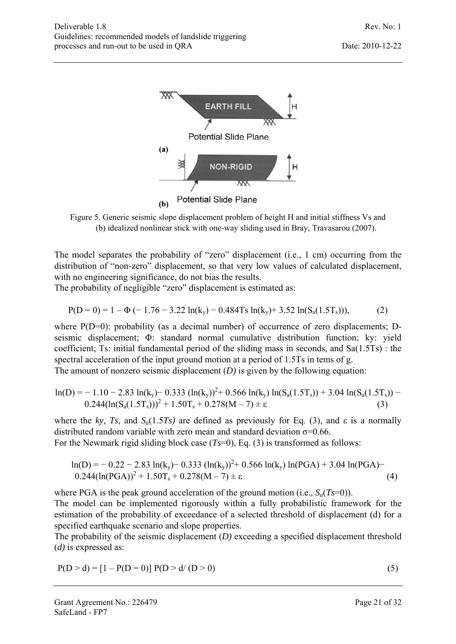

Figure 5. Generic seismic slope displacement problem of height H and initial stiffness Vs and (b) idealized nonlinear stick with one-way sliding used in Bray, Travasarou (2007).

The model separates the probability of "zero" displacement (i.e., 1 cm) occurring from the distribution of "non-zero" displacement, so that very low values of calculated displacement, with no engineering significance, do not bias the results.

The probability of negligible "zero" displacement is estimated as:

$$
P(D = 0) = 1 - \Phi(-1.76 - 3.22 \ln(k_y) - 0.484 \text{Ts} \ln(k_y) + 3.52 \ln(S_a(1.5 \text{Ts}))), \tag{2}
$$

where P(D=0): probability (as a decimal number) of occurrence of zero displacements; Dseismic displacement; Φ: standard normal cumulative distribution function; ky: yield coefficient; Ts: initial fundamental period of the sliding mass in seconds, and Sa(1.5Ts) : the spectral acceleration of the input ground motion at a period of 1.5Ts in tems of g.

The amount of nonzero seismic displacement (*D)* is given by the following equation:

$$
\ln(D) = -1.10 - 2.83 \ln(k_y) - 0.333 (\ln(k_y))^2 + 0.566 \ln(k_y) \ln(S_a(1.5T_s)) + 3.04 \ln(S_a(1.5T_s)) - 0.244(\ln(S_a(1.5T_s)))^2 + 1.50T_s + 0.278(M - 7) \pm \epsilon
$$
\n(3)

where the *ky*, *Ts*, and  $S_a(1.5T_s)$  are defined as previously for Eq. (3), and  $\varepsilon$  is a normally distributed random variable with zero mean and standard deviation  $\sigma$ =0.66.

For the Newmark rigid sliding block case (*Ts*=0), Eq. (3) is transformed as follows:

$$
\ln(D) = -0.22 - 2.83 \ln(k_y) - 0.333 (\ln(k_y))^2 + 0.566 \ln(k_y) \ln(PGA) + 3.04 \ln(PGA) - 0.244(\ln(PGA))^2 + 1.50T_s + 0.278(M - 7) \pm \epsilon
$$
\n(4)

where PGA is the peak ground acceleration of the ground motion (i.e.,  $S_a(Ts=0)$ ).

The model can be implemented rigorously within a fully probabilistic framework for the estimation of the probability of exceedance of a selected threshold of displacement (d) for a specified earthquake scenario and slope properties.

The probability of the seismic displacement (*D)* exceeding a specified displacement threshold (*d)* is expressed as:

$$
P(D > d) = [1 - P(D = 0)] P(D > d/(D > 0)
$$
\n(5)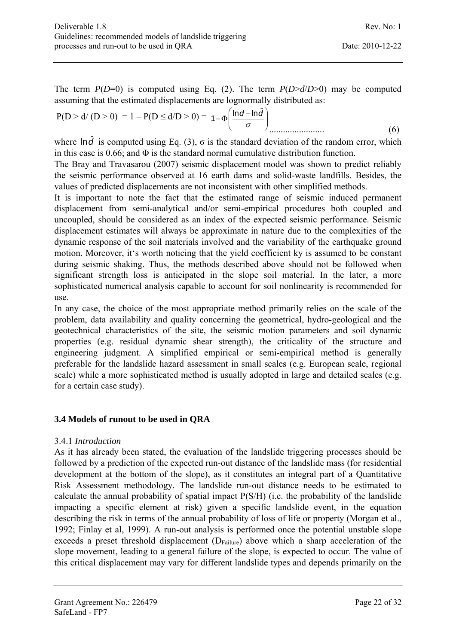The term  $P(D=0)$  is computed using Eq. (2). The term  $P(D>d/D>0)$  may be computed assuming that the estimated displacements are lognormally distributed as:

$$
P(D > d/(D > 0) = 1 - P(D \le d/D > 0) = 1 - \Phi\left(\frac{\ln d - \ln \hat{d}}{\sigma}\right) \dots \dots \dots \dots \dots \dots \dots \tag{6}
$$

where  $\ln \hat{d}$  is computed using Eq. (3),  $\sigma$  is the standard deviation of the random error, which in this case is 0.66; and  $\Phi$  is the standard normal cumulative distribution function.

The Bray and Travasarou (2007) seismic displacement model was shown to predict reliably the seismic performance observed at 16 earth dams and solid-waste landfills. Besides, the values of predicted displacements are not inconsistent with other simplified methods.

It is important to note the fact that the estimated range of seismic induced permanent displacement from semi-analytical and/or semi-empirical procedures both coupled and uncoupled, should be considered as an index of the expected seismic performance. Seismic displacement estimates will always be approximate in nature due to the complexities of the dynamic response of the soil materials involved and the variability of the earthquake ground motion. Moreover, it's worth noticing that the yield coefficient ky is assumed to be constant during seismic shaking. Thus, the methods described above should not be followed when significant strength loss is anticipated in the slope soil material. In the later, a more sophisticated numerical analysis capable to account for soil nonlinearity is recommended for use.

In any case, the choice of the most appropriate method primarily relies on the scale of the problem, data availability and quality concerning the geometrical, hydro-geological and the geotechnical characteristics of the site, the seismic motion parameters and soil dynamic properties (e.g. residual dynamic shear strength), the criticality of the structure and engineering judgment. A simplified empirical or semi-empirical method is generally preferable for the landslide hazard assessment in small scales (e.g. European scale, regional scale) while a more sophisticated method is usually adopted in large and detailed scales (e.g. for a certain case study).

#### **3.4 Models of runout to be used in QRA**

#### 3.4.1 *Introduction*

As it has already been stated, the evaluation of the landslide triggering processes should be followed by a prediction of the expected run-out distance of the landslide mass (for residential development at the bottom of the slope), as it constitutes an integral part of a Quantitative Risk Assessment methodology. The landslide run-out distance needs to be estimated to calculate the annual probability of spatial impact P(S/H) (i.e. the probability of the landslide impacting a specific element at risk) given a specific landslide event, in the equation describing the risk in terms of the annual probability of loss of life or property (Morgan et al., 1992; Finlay et al, 1999). A run-out analysis is performed once the potential unstable slope exceeds a preset threshold displacement  $(D_{F\text{ailure}})$  above which a sharp acceleration of the slope movement, leading to a general failure of the slope, is expected to occur. The value of this critical displacement may vary for different landslide types and depends primarily on the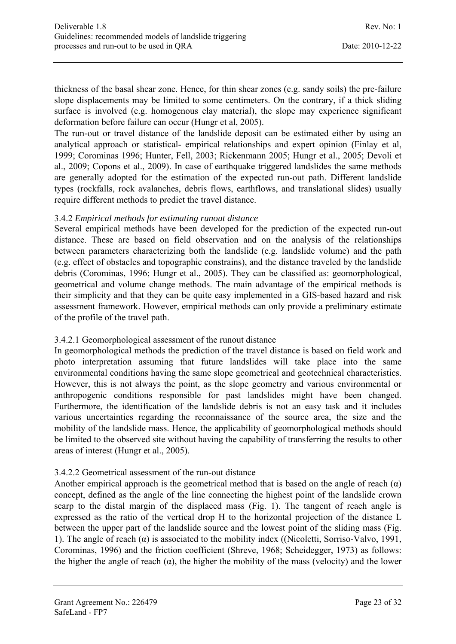thickness of the basal shear zone. Hence, for thin shear zones (e.g. sandy soils) the pre-failure slope displacements may be limited to some centimeters. On the contrary, if a thick sliding surface is involved (e.g. homogenous clay material), the slope may experience significant deformation before failure can occur (Hungr et al, 2005).

The run-out or travel distance of the landslide deposit can be estimated either by using an analytical approach or statistical- empirical relationships and expert opinion (Finlay et al, 1999; Corominas 1996; Hunter, Fell, 2003; Rickenmann 2005; Hungr et al., 2005; Devoli et al., 2009; Copons et al., 2009). In case of earthquake triggered landslides the same methods are generally adopted for the estimation of the expected run-out path. Different landslide types (rockfalls, rock avalanches, debris flows, earthflows, and translational slides) usually require different methods to predict the travel distance.

#### 3.4.2 *Empirical methods for estimating runout distance*

Several empirical methods have been developed for the prediction of the expected run-out distance. These are based on field observation and on the analysis of the relationships between parameters characterizing both the landslide (e.g. landslide volume) and the path (e.g. effect of obstacles and topographic constrains), and the distance traveled by the landslide debris (Corominas, 1996; Hungr et al., 2005). They can be classified as: geomorphological, geometrical and volume change methods. The main advantage of the empirical methods is their simplicity and that they can be quite easy implemented in a GIS-based hazard and risk assessment framework. However, empirical methods can only provide a preliminary estimate of the profile of the travel path.

#### 3.4.2.1 Geomorphological assessment of the runout distance

In geomorphological methods the prediction of the travel distance is based on field work and photo interpretation assuming that future landslides will take place into the same environmental conditions having the same slope geometrical and geotechnical characteristics. However, this is not always the point, as the slope geometry and various environmental or anthropogenic conditions responsible for past landslides might have been changed. Furthermore, the identification of the landslide debris is not an easy task and it includes various uncertainties regarding the reconnaissance of the source area, the size and the mobility of the landslide mass. Hence, the applicability of geomorphological methods should be limited to the observed site without having the capability of transferring the results to other areas of interest (Hungr et al., 2005).

#### 3.4.2.2 Geometrical assessment of the run-out distance

Another empirical approach is the geometrical method that is based on the angle of reach  $(\alpha)$ concept, defined as the angle of the line connecting the highest point of the landslide crown scarp to the distal margin of the displaced mass (Fig. 1). The tangent of reach angle is expressed as the ratio of the vertical drop H to the horizontal projection of the distance L between the upper part of the landslide source and the lowest point of the sliding mass (Fig. 1). The angle of reach  $(\alpha)$  is associated to the mobility index ((Nicoletti, Sorriso-Valvo, 1991, Corominas, 1996) and the friction coefficient (Shreve, 1968; Scheidegger, 1973) as follows: the higher the angle of reach  $(\alpha)$ , the higher the mobility of the mass (velocity) and the lower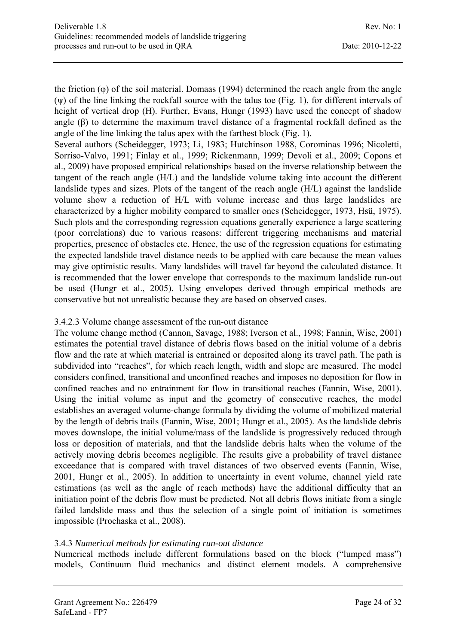the friction (φ) of the soil material. Domaas (1994) determined the reach angle from the angle  $(\psi)$  of the line linking the rockfall source with the talus toe (Fig. 1), for different intervals of height of vertical drop (H). Further, Evans, Hungr (1993) have used the concept of shadow angle (β) to determine the maximum travel distance of a fragmental rockfall defined as the angle of the line linking the talus apex with the farthest block (Fig. 1).

Several authors (Scheidegger, 1973; Li, 1983; Hutchinson 1988, Corominas 1996; Nicoletti, Sorriso-Valvo, 1991; Finlay et al., 1999; Rickenmann, 1999; Devoli et al., 2009; Copons et al., 2009) have proposed empirical relationships based on the inverse relationship between the tangent of the reach angle (H/L) and the landslide volume taking into account the different landslide types and sizes. Plots of the tangent of the reach angle (H/L) against the landslide volume show a reduction of H/L with volume increase and thus large landslides are characterized by a higher mobility compared to smaller ones (Scheidegger, 1973, Hsü, 1975). Such plots and the corresponding regression equations generally experience a large scattering (poor correlations) due to various reasons: different triggering mechanisms and material properties, presence of obstacles etc. Hence, the use of the regression equations for estimating the expected landslide travel distance needs to be applied with care because the mean values may give optimistic results. Many landslides will travel far beyond the calculated distance. It is recommended that the lower envelope that corresponds to the maximum landslide run-out be used (Hungr et al., 2005). Using envelopes derived through empirical methods are conservative but not unrealistic because they are based on observed cases.

#### 3.4.2.3 Volume change assessment of the run-out distance

The volume change method (Cannon, Savage, 1988; Iverson et al., 1998; Fannin, Wise, 2001) estimates the potential travel distance of debris flows based on the initial volume of a debris flow and the rate at which material is entrained or deposited along its travel path. The path is subdivided into "reaches", for which reach length, width and slope are measured. The model considers confined, transitional and unconfined reaches and imposes no deposition for flow in confined reaches and no entrainment for flow in transitional reaches (Fannin, Wise, 2001). Using the initial volume as input and the geometry of consecutive reaches, the model establishes an averaged volume-change formula by dividing the volume of mobilized material by the length of debris trails (Fannin, Wise, 2001; Hungr et al., 2005). As the landslide debris moves downslope, the initial volume/mass of the landslide is progressively reduced through loss or deposition of materials, and that the landslide debris halts when the volume of the actively moving debris becomes negligible. The results give a probability of travel distance exceedance that is compared with travel distances of two observed events (Fannin, Wise, 2001, Hungr et al., 2005). In addition to uncertainty in event volume, channel yield rate estimations (as well as the angle of reach methods) have the additional difficulty that an initiation point of the debris flow must be predicted. Not all debris flows initiate from a single failed landslide mass and thus the selection of a single point of initiation is sometimes impossible (Prochaska et al., 2008).

#### 3.4.3 *Numerical methods for estimating run-out distance*

Numerical methods include different formulations based on the block ("lumped mass") models, Continuum fluid mechanics and distinct element models. A comprehensive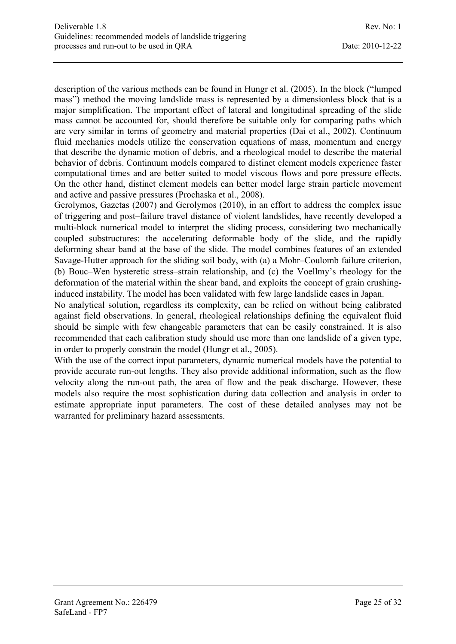description of the various methods can be found in Hungr et al. (2005). In the block ("lumped mass") method the moving landslide mass is represented by a dimensionless block that is a major simplification. The important effect of lateral and longitudinal spreading of the slide mass cannot be accounted for, should therefore be suitable only for comparing paths which are very similar in terms of geometry and material properties (Dai et al., 2002). Continuum fluid mechanics models utilize the conservation equations of mass, momentum and energy that describe the dynamic motion of debris, and a rheological model to describe the material behavior of debris. Continuum models compared to distinct element models experience faster computational times and are better suited to model viscous flows and pore pressure effects. On the other hand, distinct element models can better model large strain particle movement and active and passive pressures (Prochaska et al., 2008).

Gerolymos, Gazetas (2007) and Gerolymos (2010), in an effort to address the complex issue of triggering and post–failure travel distance of violent landslides, have recently developed a multi-block numerical model to interpret the sliding process, considering two mechanically coupled substructures: the accelerating deformable body of the slide, and the rapidly deforming shear band at the base of the slide. The model combines features of an extended Savage-Hutter approach for the sliding soil body, with (a) a Mohr–Coulomb failure criterion, (b) Bouc–Wen hysteretic stress–strain relationship, and (c) the Voellmy's rheology for the deformation of the material within the shear band, and exploits the concept of grain crushinginduced instability. The model has been validated with few large landslide cases in Japan.

No analytical solution, regardless its complexity, can be relied on without being calibrated against field observations. In general, rheological relationships defining the equivalent fluid should be simple with few changeable parameters that can be easily constrained. It is also recommended that each calibration study should use more than one landslide of a given type, in order to properly constrain the model (Hungr et al., 2005).

With the use of the correct input parameters, dynamic numerical models have the potential to provide accurate run-out lengths. They also provide additional information, such as the flow velocity along the run-out path, the area of flow and the peak discharge. However, these models also require the most sophistication during data collection and analysis in order to estimate appropriate input parameters. The cost of these detailed analyses may not be warranted for preliminary hazard assessments.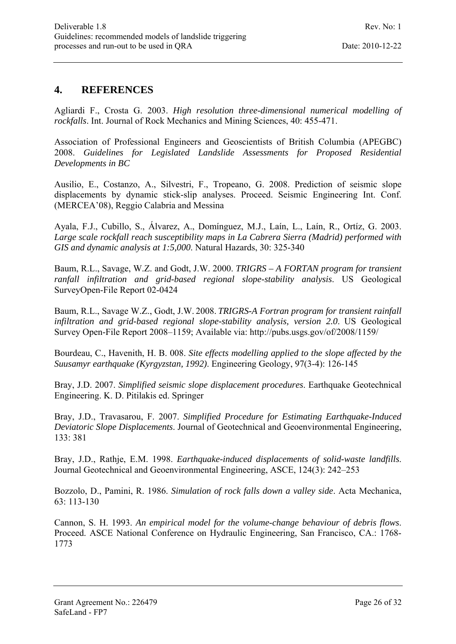### **4. REFERENCES**

Agliardi F., Crosta G. 2003. *High resolution three-dimensional numerical modelling of rockfalls*. Int. Journal of Rock Mechanics and Mining Sciences, 40: 455-471.

Association of Professional Engineers and Geoscientists of British Columbia (APEGBC) 2008. *Guidelines for Legislated Landslide Assessments for Proposed Residential Developments in BC* 

Ausilio, E., Costanzo, A., Silvestri, F., Tropeano, G. 2008. Prediction of seismic slope displacements by dynamic stick-slip analyses. Proceed. Seismic Engineering Int. Conf. (MERCEA'08), Reggio Calabria and Messina

Ayala, F.J., Cubillo, S., Álvarez, A., Domínguez, M.J., Laín, L., Laín, R., Ortíz, G. 2003. *Large scale rockfall reach susceptibility maps in La Cabrera Sierra (Madrid) performed with GIS and dynamic analysis at 1:5,000*. Natural Hazards, 30: 325-340

Baum, R.L., Savage, W.Z. and Godt, J.W. 2000. *TRIGRS – A FORTAN program for transient ranfall infiltration and grid-based regional slope-stability analysis*. US Geological SurveyOpen-File Report 02-0424

Baum, R.L., Savage W.Z., Godt, J.W. 2008. *TRIGRS-A Fortran program for transient rainfall infiltration and grid-based regional slope-stability analysis, version 2.0*. US Geological Survey Open-File Report 2008–1159; Available via: http://pubs.usgs.gov/of/2008/1159/

Bourdeau, C., Havenith, H. B. 008. *Site effects modelling applied to the slope affected by the Suusamyr earthquake (Kyrgyzstan, 1992)*. Engineering Geology, 97(3-4): 126-145

Bray, J.D. 2007. *Simplified seismic slope displacement procedures*. Earthquake Geotechnical Engineering. K. D. Pitilakis ed. Springer

Bray, J.D., Travasarou, F. 2007. *Simplified Procedure for Estimating Earthquake-Induced Deviatoric Slope Displacements*. Journal of Geotechnical and Geoenvironmental Engineering, 133: 381

Bray, J.D., Rathje, E.M. 1998. *Earthquake-induced displacements of solid-waste landfills*. Journal Geotechnical and Geoenvironmental Engineering, ASCE, 124(3): 242–253

Bozzolo, D., Pamini, R. 1986. *Simulation of rock falls down a valley side*. Acta Mechanica, 63: 113-130

Cannon, S. H. 1993. *An empirical model for the volume-change behaviour of debris flows*. Proceed. ASCE National Conference on Hydraulic Engineering, San Francisco, CA.: 1768- 1773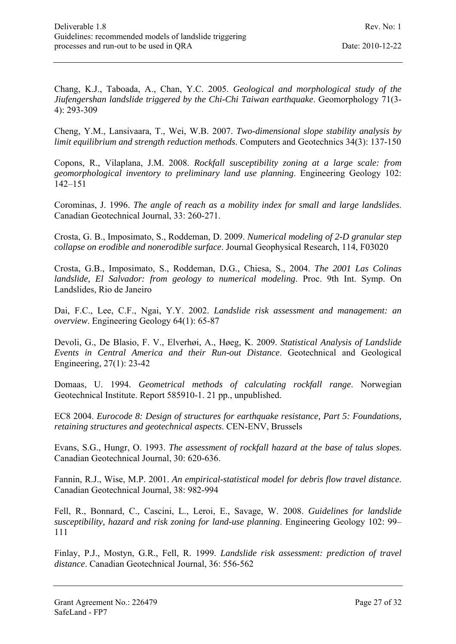Chang, K.J., Taboada, A., Chan, Y.C. 2005. *Geological and morphological study of the Jiufengershan landslide triggered by the Chi-Chi Taiwan earthquake*. Geomorphology 71(3- 4): 293-309

Cheng, Y.M., Lansivaara, T., Wei, W.B. 2007. *Two-dimensional slope stability analysis by limit equilibrium and strength reduction methods*. Computers and Geotechnics 34(3): 137-150

Copons, R., Vilaplana, J.M. 2008. *Rockfall susceptibility zoning at a large scale: from geomorphological inventory to preliminary land use planning*. Engineering Geology 102: 142–151

Corominas, J. 1996. *The angle of reach as a mobility index for small and large landslides*. Canadian Geotechnical Journal, 33: 260-271.

Crosta, G. B., Imposimato, S., Roddeman, D. 2009. *Numerical modeling of 2-D granular step collapse on erodible and nonerodible surface*. Journal Geophysical Research, 114, F03020

Crosta, G.B., Imposimato, S., Roddeman, D.G., Chiesa, S., 2004. *The 2001 Las Colinas landslide, El Salvador: from geology to numerical modeling*. Proc. 9th Int. Symp. On Landslides, Rio de Janeiro

Dai, F.C., Lee, C.F., Ngai, Y.Y. 2002. *Landslide risk assessment and management: an overview*. Engineering Geology 64(1): 65-87

Devoli, G., De Blasio, F. V., Elverhøi, A., Høeg, K. 2009. *Statistical Analysis of Landslide Events in Central America and their Run-out Distance*. Geotechnical and Geological Engineering, 27(1): 23-42

Domaas, U. 1994. *Geometrical methods of calculating rockfall range*. Norwegian Geotechnical Institute. Report 585910-1. 21 pp., unpublished.

EC8 2004. *Eurocode 8: Design of structures for earthquake resistance, Part 5: Foundations, retaining structures and geotechnical aspects*. CEN-ENV, Brussels

Evans, S.G., Hungr, O. 1993. *The assessment of rockfall hazard at the base of talus slopes*. Canadian Geotechnical Journal, 30: 620-636.

Fannin, R.J., Wise, M.P. 2001. *An empirical-statistical model for debris flow travel distance*. Canadian Geotechnical Journal, 38: 982-994

Fell, R., Bonnard, C., Cascini, L., Leroi, E., Savage, W. 2008. *Guidelines for landslide susceptibility, hazard and risk zoning for land-use planning*. Engineering Geology 102: 99– 111

Finlay, P.J., Mostyn, G.R., Fell, R. 1999. *Landslide risk assessment: prediction of travel distance*. Canadian Geotechnical Journal, 36: 556-562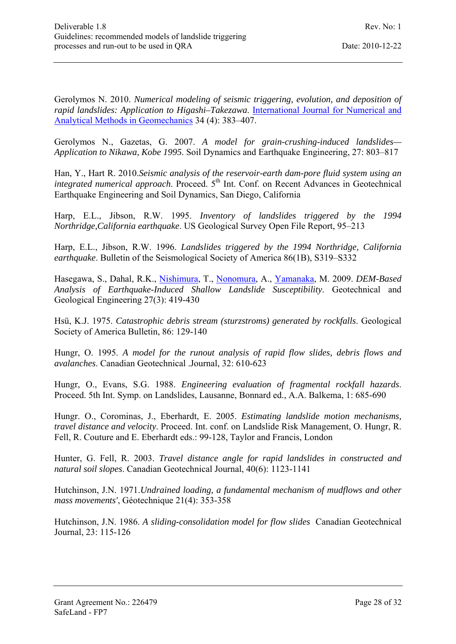Gerolymos N. 2010. *Numerical modeling of seismic triggering, evolution, and deposition of rapid landslides: Application to Higashi–Takezawa*. International Journal for Numerical and Analytical Methods in Geomechanics 34 (4): 383–407.

Gerolymos N., Gazetas, G. 2007. *A model for grain-crushing-induced landslides— Application to Nikawa, Kobe 1995*. Soil Dynamics and Earthquake Engineering, 27: 803–817

Han, Y., Hart R. 2010.*Seismic analysis of the reservoir-earth dam-pore fluid system using an integrated numerical approach.* Proceed. 5<sup>th</sup> Int. Conf. on Recent Advances in Geotechnical Earthquake Engineering and Soil Dynamics, San Diego, California

Harp, E.L., Jibson, R.W. 1995. *Inventory of landslides triggered by the 1994 Northridge,California earthquake*. US Geological Survey Open File Report, 95–213

Harp, E.L., Jibson, R.W. 1996. *Landslides triggered by the 1994 Northridge, California earthquake*. Bulletin of the Seismological Society of America 86(1B), S319–S332

Hasegawa, S., Dahal, R.K., Nishimura, T., Nonomura, A., Yamanaka, M. 2009. *DEM-Based Analysis of Earthquake-Induced Shallow Landslide Susceptibility*. Geotechnical and Geological Engineering 27(3): 419-430

Hsü, K.J. 1975. *Catastrophic debris stream (sturzstroms) generated by rockfalls*. Geological Society of America Bulletin, 86: 129-140

Hungr, O. 1995. *A model for the runout analysis of rapid flow slides, debris flows and avalanches*. Canadian Geotechnical .Journal, 32: 610-623

Hungr, O., Evans, S.G. 1988. *Engineering evaluation of fragmental rockfall hazards*. Proceed. 5th Int. Symp. on Landslides, Lausanne, Bonnard ed., A.A. Balkema, 1: 685-690

Hungr. O., Corominas, J., Eberhardt, E. 2005. *Estimating landslide motion mechanisms, travel distance and velocity*. Proceed. Int. conf. on Landslide Risk Management, O. Hungr, R. Fell, R. Couture and E. Eberhardt eds.: 99-128, Taylor and Francis, London

Hunter, G. Fell, R. 2003. *Travel distance angle for rapid landslides in constructed and natural soil slopes*. Canadian Geotechnical Journal, 40(6): 1123-1141

Hutchinson, J.N. 1971.*Undrained loading, a fundamental mechanism of mudflows and other mass movements'*, Géotechnique 21(4): 353-358

Hutchinson, J.N. 1986. *A sliding-consolidation model for flow slides* Canadian Geotechnical Journal, 23: 115-126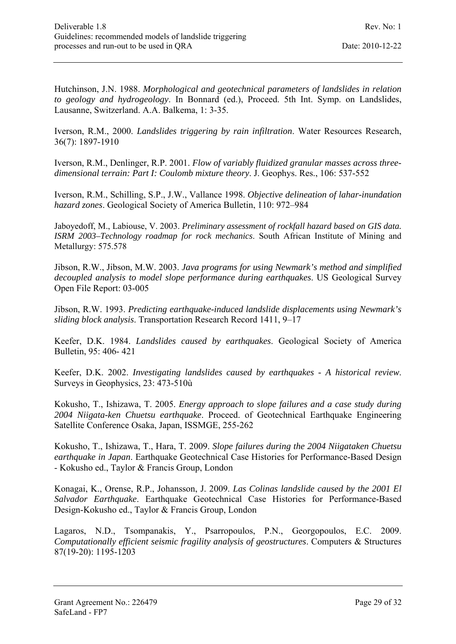Hutchinson, J.N. 1988. *Morphological and geotechnical parameters of landslides in relation to geology and hydrogeology*. In Bonnard (ed.), Proceed. 5th Int. Symp. on Landslides, Lausanne, Switzerland. A.A. Balkema, 1: 3-35.

Iverson, R.M., 2000. *Landslides triggering by rain infiltration*. Water Resources Research, 36(7): 1897-1910

Iverson, R.M., Denlinger, R.P. 2001. *Flow of variably fluidized granular masses across threedimensional terrain: Part I: Coulomb mixture theory*. J. Geophys. Res., 106: 537-552

Iverson, R.M., Schilling, S.P., J.W., Vallance 1998. *Objective delineation of lahar-inundation hazard zones*. Geological Society of America Bulletin, 110: 972–984

Jaboyedoff, M., Labiouse, V. 2003. *Preliminary assessment of rockfall hazard based on GIS data. ISRM 2003–Technology roadmap for rock mechanics*. South African Institute of Mining and Metallurgy: 575.578

Jibson, R.W., Jibson, M.W. 2003. *Java programs for using Newmark's method and simplified decoupled analysis to model slope performance during earthquakes*. US Geological Survey Open File Report: 03-005

Jibson, R.W. 1993. *Predicting earthquake-induced landslide displacements using Newmark's sliding block analysis*. Transportation Research Record 1411, 9–17

Keefer, D.K. 1984. *Landslides caused by earthquakes*. Geological Society of America Bulletin, 95: 406- 421

Keefer, D.K. 2002. *Investigating landslides caused by earthquakes - A historical review*. Surveys in Geophysics, 23: 473-510ù

Kokusho, T., Ishizawa, T. 2005. *Energy approach to slope failures and a case study during 2004 Niigata-ken Chuetsu earthquake*. Proceed. of Geotechnical Earthquake Engineering Satellite Conference Osaka, Japan, ISSMGE, 255-262

Kokusho, T., Ishizawa, T., Hara, T. 2009. *Slope failures during the 2004 Niigataken Chuetsu earthquake in Japan*. Earthquake Geotechnical Case Histories for Performance-Based Design - Kokusho ed., Taylor & Francis Group, London

Konagai, K., Orense, R.P., Johansson, J. 2009. *Las Colinas landslide caused by the 2001 El Salvador Earthquake*. Earthquake Geotechnical Case Histories for Performance-Based Design-Kokusho ed., Taylor & Francis Group, London

Lagaros, N.D., Tsompanakis, Y., Psarropoulos, P.N., Georgopoulos, E.C. 2009. *Computationally efficient seismic fragility analysis of geostructures*. Computers & Structures 87(19-20): 1195-1203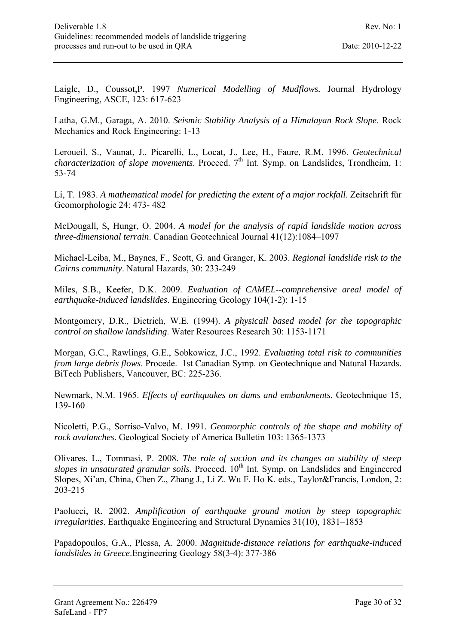Laigle, D., Coussot,P. 1997 *Numerical Modelling of Mudflows.* Journal Hydrology Engineering, ASCE, 123: 617-623

Latha, G.M., Garaga, A. 2010. *Seismic Stability Analysis of a Himalayan Rock Slope*. Rock Mechanics and Rock Engineering: 1-13

Leroueil, S., Vaunat, J., Picarelli, L., Locat, J., Lee, H., Faure, R.M. 1996. *Geotechnical characterization of slope movements.* Proceed.  $7<sup>th</sup>$  Int. Symp. on Landslides, Trondheim, 1: 53-74

Li, T. 1983. *A mathematical model for predicting the extent of a major rockfall*. Zeitschrift für Geomorphologie 24: 473- 482

McDougall, S, Hungr, O. 2004. *A model for the analysis of rapid landslide motion across three-dimensional terrain*. Canadian Geotechnical Journal 41(12):1084–1097

Michael-Leiba, M., Baynes, F., Scott, G. and Granger, K. 2003. *Regional landslide risk to the Cairns community*. Natural Hazards, 30: 233-249

Miles, S.B., Keefer, D.K. 2009. *Evaluation of CAMEL--comprehensive areal model of earthquake-induced landslides*. Engineering Geology 104(1-2): 1-15

Montgomery, D.R., Dietrich, W.E. (1994). *A physicall based model for the topographic control on shallow landsliding*. Water Resources Research 30: 1153-1171

Morgan, G.C., Rawlings, G.E., Sobkowicz, J.C., 1992. *Evaluating total risk to communities from large debris flows*. Procede. 1st Canadian Symp. on Geotechnique and Natural Hazards. BiTech Publishers, Vancouver, BC: 225-236.

Newmark, N.M. 1965. *Effects of earthquakes on dams and embankments*. Geotechnique 15, 139-160

Nicoletti, P.G., Sorriso-Valvo, M. 1991. *Geomorphic controls of the shape and mobility of rock avalanches*. Geological Society of America Bulletin 103: 1365-1373

Olivares, L., Tommasi, P. 2008. *The role of suction and its changes on stability of steep slopes in unsaturated granular soils.* Proceed. 10<sup>th</sup> Int. Symp. on Landslides and Engineered Slopes, Xi'an, China, Chen Z., Zhang J., Li Z. Wu F. Ho K. eds., Taylor&Francis, London, 2: 203-215

Paolucci, R. 2002. *Amplification of earthquake ground motion by steep topographic irregularities*. Earthquake Engineering and Structural Dynamics 31(10), 1831–1853

Papadopoulos, G.A., Plessa, A. 2000. *Magnitude-distance relations for earthquake-induced landslides in Greece*.Engineering Geology 58(3-4): 377-386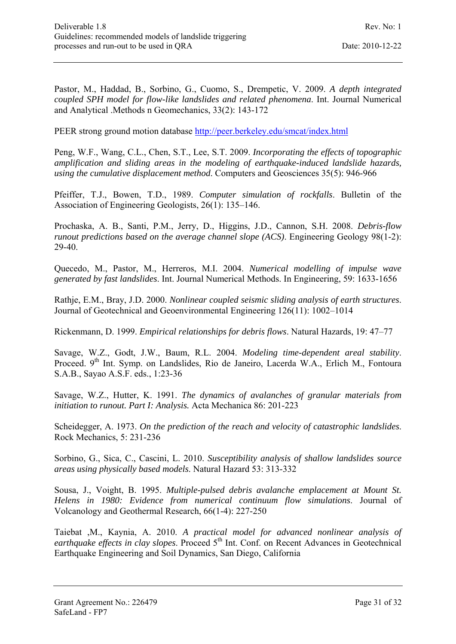Pastor, M., Haddad, B., Sorbino, G., Cuomo, S., Drempetic, V. 2009. *A depth integrated coupled SPH model for flow-like landslides and related phenomena*. Int. Journal Numerical and Analytical .Methods n Geomechanics, 33(2): 143-172

PEER strong ground motion database http://peer.berkeley.edu/smcat/index.html

Peng, W.F., Wang, C.L., Chen, S.T., Lee, S.T. 2009. *Incorporating the effects of topographic amplification and sliding areas in the modeling of earthquake-induced landslide hazards, using the cumulative displacement method*. Computers and Geosciences 35(5): 946-966

Pfeiffer, T.J., Bowen, T.D., 1989. *Computer simulation of rockfalls*. Bulletin of the Association of Engineering Geologists, 26(1): 135–146.

Prochaska, A. B., Santi, P.M., Jerry, D., Higgins, J.D., Cannon, S.H. 2008. *Debris-flow runout predictions based on the average channel slope (ACS)*. Engineering Geology 98(1-2): 29-40.

Quecedo, M., Pastor, M., Herreros, M.I. 2004. *Numerical modelling of impulse wave generated by fast landslides*. Int. Journal Numerical Methods. In Engineering, 59: 1633-1656

Rathje, E.M., Bray, J.D. 2000. *Nonlinear coupled seismic sliding analysis of earth structures*. Journal of Geotechnical and Geoenvironmental Engineering 126(11): 1002–1014

Rickenmann, D. 1999. *Empirical relationships for debris flows*. Natural Hazards, 19: 47–77

Savage, W.Z., Godt, J.W., Baum, R.L. 2004. *Modeling time-dependent areal stability*. Proceed. 9<sup>th</sup> Int. Symp. on Landslides, Rio de Janeiro, Lacerda W.A., Erlich M., Fontoura S.A.B., Sayao A.S.F. eds., 1:23-36

Savage, W.Z., Hutter, K. 1991. *The dynamics of avalanches of granular materials from initiation to runout. Part I: Analysis.* Acta Mechanica 86: 201-223

Scheidegger, A. 1973. *On the prediction of the reach and velocity of catastrophic landslides*. Rock Mechanics, 5: 231-236

Sorbino, G., Sica, C., Cascini, L. 2010. *Susceptibility analysis of shallow landslides source areas using physically based models*. Natural Hazard 53: 313-332

Sousa, J., Voight, B. 1995. *Multiple-pulsed debris avalanche emplacement at Mount St. Helens in 1980: Evidence from numerical continuum flow simulations*. Journal of Volcanology and Geothermal Research, 66(1-4): 227-250

Taiebat ,M., Kaynia, A. 2010. *A practical model for advanced nonlinear analysis of*  earthquake effects in clay slopes. Proceed 5<sup>th</sup> Int. Conf. on Recent Advances in Geotechnical Earthquake Engineering and Soil Dynamics, San Diego, California